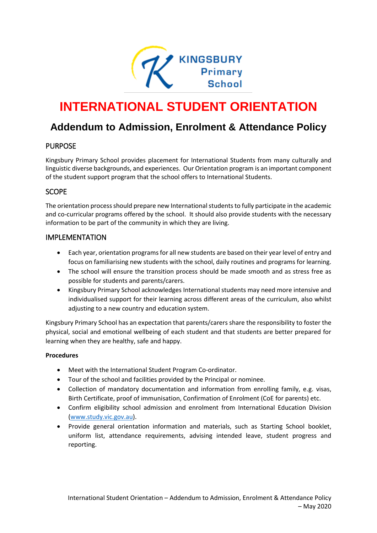

# **INTERNATIONAL STUDENT ORIENTATION**

# **Addendum to Admission, Enrolment & Attendance Policy**

## PURPOSE

Kingsbury Primary School provides placement for International Students from many culturally and linguistic diverse backgrounds, and experiences. Our Orientation program is an important component of the student support program that the school offers to International Students.

### SCOPE

The orientation process should prepare new International students to fully participate in the academic and co-curricular programs offered by the school. It should also provide students with the necessary information to be part of the community in which they are living.

### IMPLEMENTATION

- Each year, orientation programs for all new students are based on their year level of entry and focus on familiarising new students with the school, daily routines and programs for learning.
- The school will ensure the transition process should be made smooth and as stress free as possible for students and parents/carers.
- Kingsbury Primary School acknowledges International students may need more intensive and individualised support for their learning across different areas of the curriculum, also whilst adjusting to a new country and education system.

Kingsbury Primary School has an expectation that parents/carers share the responsibility to foster the physical, social and emotional wellbeing of each student and that students are better prepared for learning when they are healthy, safe and happy.

#### **Procedures**

- Meet with the International Student Program Co-ordinator.
- Tour of the school and facilities provided by the Principal or nominee.
- Collection of mandatory documentation and information from enrolling family, e.g. visas, Birth Certificate, proof of immunisation, Confirmation of Enrolment (CoE for parents) etc.
- Confirm eligibility school admission and enrolment from International Education Division [\(www.study.vic.gov.au\)](http://www.study.vic.gov.au/).
- Provide general orientation information and materials, such as Starting School booklet, uniform list, attendance requirements, advising intended leave, student progress and reporting.